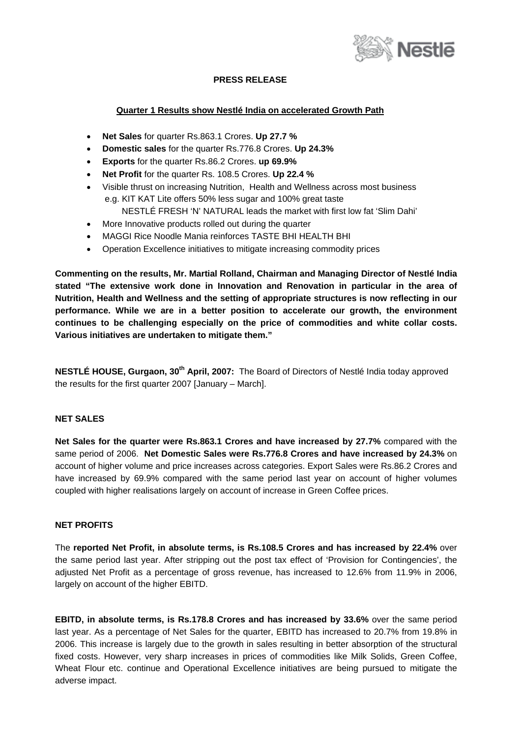

# **PRESS RELEASE**

### **Quarter 1 Results show Nestlé India on accelerated Growth Path**

- **Net Sales** for quarter Rs.863.1 Crores. **Up 27.7 %**
- **Domestic sales** for the quarter Rs.776.8 Crores. **Up 24.3%**
- **Exports** for the quarter Rs.86.2 Crores. **up 69.9%**
- **Net Profit** for the quarter Rs. 108.5 Crores. **Up 22.4 %**
- Visible thrust on increasing Nutrition, Health and Wellness across most business e.g. KIT KAT Lite offers 50% less sugar and 100% great taste
	- NESTLÉ FRESH 'N' NATURAL leads the market with first low fat 'Slim Dahi'
- More Innovative products rolled out during the quarter
- MAGGI Rice Noodle Mania reinforces TASTE BHI HEALTH BHI
- Operation Excellence initiatives to mitigate increasing commodity prices

**Commenting on the results, Mr. Martial Rolland, Chairman and Managing Director of Nestlé India stated "The extensive work done in Innovation and Renovation in particular in the area of Nutrition, Health and Wellness and the setting of appropriate structures is now reflecting in our performance. While we are in a better position to accelerate our growth, the environment continues to be challenging especially on the price of commodities and white collar costs. Various initiatives are undertaken to mitigate them."** 

**NESTLÉ HOUSE, Gurgaon, 30th April, 2007:** The Board of Directors of Nestlé India today approved the results for the first quarter 2007 [January – March].

### **NET SALES**

**Net Sales for the quarter were Rs.863.1 Crores and have increased by 27.7%** compared with the same period of 2006. **Net Domestic Sales were Rs.776.8 Crores and have increased by 24.3%** on account of higher volume and price increases across categories. Export Sales were Rs.86.2 Crores and have increased by 69.9% compared with the same period last year on account of higher volumes coupled with higher realisations largely on account of increase in Green Coffee prices.

## **NET PROFITS**

The **reported Net Profit, in absolute terms, is Rs.108.5 Crores and has increased by 22.4%** over the same period last year. After stripping out the post tax effect of 'Provision for Contingencies', the adjusted Net Profit as a percentage of gross revenue, has increased to 12.6% from 11.9% in 2006, largely on account of the higher EBITD.

**EBITD, in absolute terms, is Rs.178.8 Crores and has increased by 33.6%** over the same period last year. As a percentage of Net Sales for the quarter, EBITD has increased to 20.7% from 19.8% in 2006. This increase is largely due to the growth in sales resulting in better absorption of the structural fixed costs. However, very sharp increases in prices of commodities like Milk Solids, Green Coffee, Wheat Flour etc. continue and Operational Excellence initiatives are being pursued to mitigate the adverse impact.